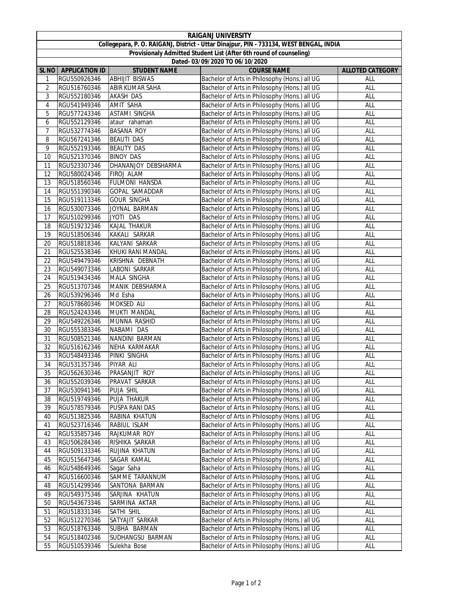| <b>RAIGANJ UNIVERSITY</b>                                                               |                              |                       |                                               |                         |  |  |  |  |
|-----------------------------------------------------------------------------------------|------------------------------|-----------------------|-----------------------------------------------|-------------------------|--|--|--|--|
| Collegepara, P. O. RAIGANJ, District - Uttar Dinajpur, PIN - 733134, WEST BENGAL, INDIA |                              |                       |                                               |                         |  |  |  |  |
| Provisionaly Admitted Student List (After 6th round of counseling)                      |                              |                       |                                               |                         |  |  |  |  |
|                                                                                         |                              |                       | Dated- 03/09/2020 TO 06/10/2020               |                         |  |  |  |  |
| <b>SL NO</b>                                                                            | <b>APPLICATION ID</b>        | <b>STUDENT NAME</b>   | <b>COURSE NAME</b>                            | <b>ALLOTED CATEGORY</b> |  |  |  |  |
| 1                                                                                       | RGU550926346                 | <b>ABHIJIT BISWAS</b> | Bachelor of Arts in Philosophy (Hons.) all UG | ALL                     |  |  |  |  |
| 2                                                                                       | RGU516760346                 | ABIR KUMAR SAHA       | Bachelor of Arts in Philosophy (Hons.) all UG | ALL                     |  |  |  |  |
| 3                                                                                       | RGU552180346                 | <b>AKASH DAS</b>      | Bachelor of Arts in Philosophy (Hons.) all UG | ALL                     |  |  |  |  |
| 4                                                                                       | RGU541949346                 | AMIT SAHA             | Bachelor of Arts in Philosophy (Hons.) all UG | ALL                     |  |  |  |  |
| 5                                                                                       | RGU577243346                 | <b>ASTAMI SINGHA</b>  | Bachelor of Arts in Philosophy (Hons.) all UG | ALL                     |  |  |  |  |
| 6                                                                                       | RGU552129346                 | ataur rahaman         | Bachelor of Arts in Philosophy (Hons.) all UG | ALL                     |  |  |  |  |
| $\overline{7}$                                                                          | RGU532774346                 | <b>BASANA ROY</b>     | Bachelor of Arts in Philosophy (Hons.) all UG | ALL                     |  |  |  |  |
| 8                                                                                       | RGU567241346                 | <b>BEAUTI DAS</b>     | Bachelor of Arts in Philosophy (Hons.) all UG | ALL                     |  |  |  |  |
| 9                                                                                       | RGU552193346                 | <b>BEAUTY DAS</b>     | Bachelor of Arts in Philosophy (Hons.) all UG | ALL                     |  |  |  |  |
| 10                                                                                      | RGU521370346                 | <b>BINOY DAS</b>      | Bachelor of Arts in Philosophy (Hons.) all UG | ALL                     |  |  |  |  |
| 11                                                                                      | RGU523307346                 | DHANANJOY DEBSHARMA   | Bachelor of Arts in Philosophy (Hons.) all UG | ALL                     |  |  |  |  |
| 12                                                                                      | RGU580024346                 | FIROJ ALAM            | Bachelor of Arts in Philosophy (Hons.) all UG | ALL                     |  |  |  |  |
| 13                                                                                      | RGU518560346                 | FULMONI HANSDA        | Bachelor of Arts in Philosophy (Hons.) all UG | ALL                     |  |  |  |  |
| 14                                                                                      | RGU551390346                 | GOPAL SAMADDAR        | Bachelor of Arts in Philosophy (Hons.) all UG | ALL                     |  |  |  |  |
|                                                                                         |                              |                       |                                               |                         |  |  |  |  |
| 15                                                                                      | RGU519113346                 | <b>GOUR SINGHA</b>    | Bachelor of Arts in Philosophy (Hons.) all UG | ALL                     |  |  |  |  |
| 16                                                                                      | RGU530073346                 | JOYNAL BARMAN         | Bachelor of Arts in Philosophy (Hons.) all UG | ALL                     |  |  |  |  |
| 17                                                                                      | RGU510299346                 | JYOTI DAS             | Bachelor of Arts in Philosophy (Hons.) all UG | ALL                     |  |  |  |  |
| 18                                                                                      | RGU519232346                 | <b>KAJAL THAKUR</b>   | Bachelor of Arts in Philosophy (Hons.) all UG | ALL                     |  |  |  |  |
| 19                                                                                      | RGU518506346                 | KAKALI SARKAR         | Bachelor of Arts in Philosophy (Hons.) all UG | ALL                     |  |  |  |  |
| 20                                                                                      | RGU518818346                 | KALYANI SARKAR        | Bachelor of Arts in Philosophy (Hons.) all UG | ALL                     |  |  |  |  |
| 21                                                                                      | RGU525538346                 | KHUKI RANI MANDAL     | Bachelor of Arts in Philosophy (Hons.) all UG | ALL                     |  |  |  |  |
| 22                                                                                      | RGU549479346                 | KRISHNA DEBNATH       | Bachelor of Arts in Philosophy (Hons.) all UG | ALL                     |  |  |  |  |
| 23                                                                                      | RGU549073346                 | LABONI SARKAR         | Bachelor of Arts in Philosophy (Hons.) all UG | ALL                     |  |  |  |  |
| 24                                                                                      | RGU519434346                 | MALA SINGHA           | Bachelor of Arts in Philosophy (Hons.) all UG | ALL                     |  |  |  |  |
| 25                                                                                      | RGU513707346                 | MANIK DEBSHARMA       | Bachelor of Arts in Philosophy (Hons.) all UG | ALL                     |  |  |  |  |
| 26                                                                                      | RGU539296346                 | Md Esha               | Bachelor of Arts in Philosophy (Hons.) all UG | ALL                     |  |  |  |  |
| 27                                                                                      | RGU578680346                 | MOKSED ALI            | Bachelor of Arts in Philosophy (Hons.) all UG | <b>ALL</b>              |  |  |  |  |
| 28                                                                                      | RGU524243346                 | MUKTI MANDAL          | Bachelor of Arts in Philosophy (Hons.) all UG | ALL                     |  |  |  |  |
| 29                                                                                      | RGU549226346                 | MUNNA RASHID          | Bachelor of Arts in Philosophy (Hons.) all UG | <b>ALL</b>              |  |  |  |  |
| 30                                                                                      | RGU555383346                 | NABAMI DAS            | Bachelor of Arts in Philosophy (Hons.) all UG | ALL                     |  |  |  |  |
| 31                                                                                      | RGU508521346                 | NANDINI BARMAN        | Bachelor of Arts in Philosophy (Hons.) all UG | ALL                     |  |  |  |  |
| 32                                                                                      | RGU516162346                 | NEHA KARMAKAR         | Bachelor of Arts in Philosophy (Hons.) all UG | ALL                     |  |  |  |  |
| 33                                                                                      | RGU548493346                 | PINKI SINGHA          | Bachelor of Arts in Philosophy (Hons.) all UG | ALL                     |  |  |  |  |
| 34                                                                                      | RGU531357346                 | PIYAR ALI             | Bachelor of Arts in Philosophy (Hons.) all UG | ALL                     |  |  |  |  |
| 35                                                                                      | RGU562630346                 | PRASANJIT ROY         | Bachelor of Arts in Philosophy (Hons.) all UG | ALL                     |  |  |  |  |
| 36                                                                                      | RGU552039346                 | PRAVAT SARKAR         | Bachelor of Arts in Philosophy (Hons.) all UG | ALL                     |  |  |  |  |
| 37                                                                                      | RGU530941346                 | PUJA SHIL             | Bachelor of Arts in Philosophy (Hons.) all UG | ALL                     |  |  |  |  |
| 38                                                                                      | RGU519749346                 | PUJA THAKUR           | Bachelor of Arts in Philosophy (Hons.) all UG | ALL                     |  |  |  |  |
| 39                                                                                      | RGU578579346                 | PUSPA RANI DAS        | Bachelor of Arts in Philosophy (Hons.) all UG | ALL                     |  |  |  |  |
| 40                                                                                      | RGU513825346                 | RABINA KHATUN         | Bachelor of Arts in Philosophy (Hons.) all UG | <b>ALL</b>              |  |  |  |  |
| 41                                                                                      | RGU523716346                 | RABIUL ISLAM          | Bachelor of Arts in Philosophy (Hons.) all UG | ALL                     |  |  |  |  |
| 42                                                                                      | RGU535857346                 | RAJKUMAR ROY          | Bachelor of Arts in Philosophy (Hons.) all UG | <b>ALL</b>              |  |  |  |  |
| 43                                                                                      | RGU506284346                 | RISHIKA SARKAR        | Bachelor of Arts in Philosophy (Hons.) all UG | <b>ALL</b>              |  |  |  |  |
| 44                                                                                      | RGU509133346                 | RUJINA KHATUN         | Bachelor of Arts in Philosophy (Hons.) all UG | <b>ALL</b>              |  |  |  |  |
| 45                                                                                      | RGU515647346                 | SAGAR KAMAL           | Bachelor of Arts in Philosophy (Hons.) all UG | ALL                     |  |  |  |  |
| 46                                                                                      | RGU548649346                 | Sagar Saha            | Bachelor of Arts in Philosophy (Hons.) all UG | ALL                     |  |  |  |  |
| 47                                                                                      | RGU516600346                 | SAMME TARANNUM        | Bachelor of Arts in Philosophy (Hons.) all UG | ALL                     |  |  |  |  |
| 48                                                                                      | RGU514299346                 | SANTONA BARMAN        | Bachelor of Arts in Philosophy (Hons.) all UG | ALL                     |  |  |  |  |
| 49                                                                                      | RGU549375346                 | SARJINA KHATUN        | Bachelor of Arts in Philosophy (Hons.) all UG | ALL                     |  |  |  |  |
| 50                                                                                      | RGU543673346                 | SARMINA AKTAR         | Bachelor of Arts in Philosophy (Hons.) all UG | ALL                     |  |  |  |  |
| 51                                                                                      | RGU518331346                 | SATHI SHIL            | Bachelor of Arts in Philosophy (Hons.) all UG | <b>ALL</b>              |  |  |  |  |
| 52                                                                                      |                              | SATYAJIT SARKAR       | Bachelor of Arts in Philosophy (Hons.) all UG | ALL                     |  |  |  |  |
| 53                                                                                      | RGU512270346<br>RGU518763346 | SUBHA BARMAN          | Bachelor of Arts in Philosophy (Hons.) all UG | ALL                     |  |  |  |  |
| 54                                                                                      | RGU518402346                 | SUDHANGSU BARMAN      | Bachelor of Arts in Philosophy (Hons.) all UG | ALL                     |  |  |  |  |
| 55                                                                                      |                              |                       | Bachelor of Arts in Philosophy (Hons.) all UG |                         |  |  |  |  |
|                                                                                         | RGU510539346                 | Sulekha Bose          |                                               | <b>ALL</b>              |  |  |  |  |